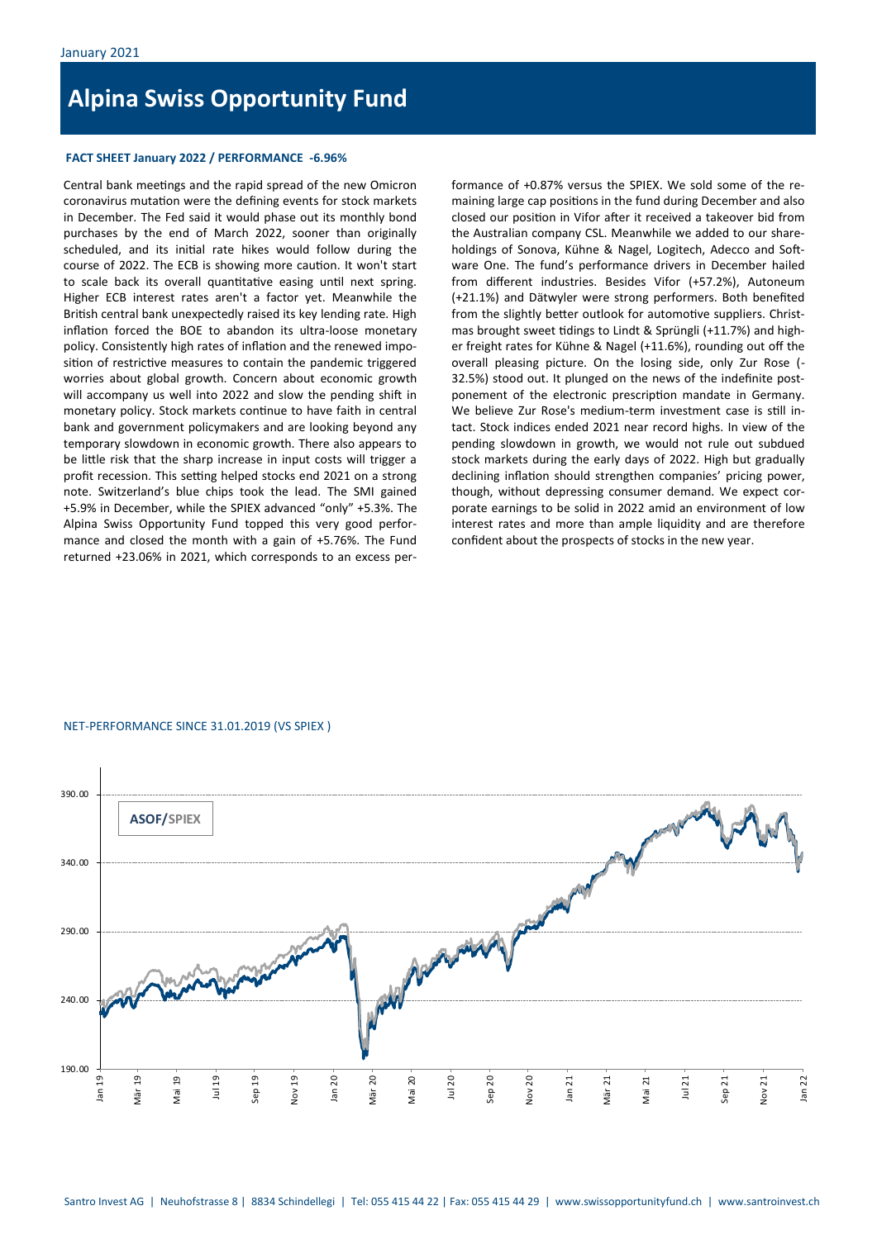# **Alpina Swiss Opportunity Fund**

## **FACT SHEET January 2022 / PERFORMANCE -6.96%**

Central bank meetings and the rapid spread of the new Omicron coronavirus mutation were the defining events for stock markets in December. The Fed said it would phase out its monthly bond purchases by the end of March 2022, sooner than originally scheduled, and its initial rate hikes would follow during the course of 2022. The ECB is showing more caution. It won't start to scale back its overall quantitative easing until next spring. Higher ECB interest rates aren't a factor yet. Meanwhile the British central bank unexpectedly raised its key lending rate. High inflation forced the BOE to abandon its ultra-loose monetary policy. Consistently high rates of inflation and the renewed imposition of restrictive measures to contain the pandemic triggered worries about global growth. Concern about economic growth will accompany us well into 2022 and slow the pending shift in monetary policy. Stock markets continue to have faith in central bank and government policymakers and are looking beyond any temporary slowdown in economic growth. There also appears to be little risk that the sharp increase in input costs will trigger a profit recession. This setting helped stocks end 2021 on a strong note. Switzerland's blue chips took the lead. The SMI gained +5.9% in December, while the SPIEX advanced "only" +5.3%. The Alpina Swiss Opportunity Fund topped this very good performance and closed the month with a gain of +5.76%. The Fund returned +23.06% in 2021, which corresponds to an excess per-

formance of +0.87% versus the SPIEX. We sold some of the remaining large cap positions in the fund during December and also closed our position in Vifor after it received a takeover bid from the Australian company CSL. Meanwhile we added to our shareholdings of Sonova, Kühne & Nagel, Logitech, Adecco and Software One. The fund's performance drivers in December hailed from different industries. Besides Vifor (+57.2%), Autoneum (+21.1%) and Dätwyler were strong performers. Both benefited from the slightly better outlook for automotive suppliers. Christmas brought sweet tidings to Lindt & Sprüngli (+11.7%) and higher freight rates for Kühne & Nagel (+11.6%), rounding out off the overall pleasing picture. On the losing side, only Zur Rose (- 32.5%) stood out. It plunged on the news of the indefinite postponement of the electronic prescription mandate in Germany. We believe Zur Rose's medium-term investment case is still intact. Stock indices ended 2021 near record highs. In view of the pending slowdown in growth, we would not rule out subdued stock markets during the early days of 2022. High but gradually declining inflation should strengthen companies' pricing power, though, without depressing consumer demand. We expect corporate earnings to be solid in 2022 amid an environment of low interest rates and more than ample liquidity and are therefore confident about the prospects of stocks in the new year.

### NET-PERFORMANCE SINCE 31.01.2019 (VS SPIEX )